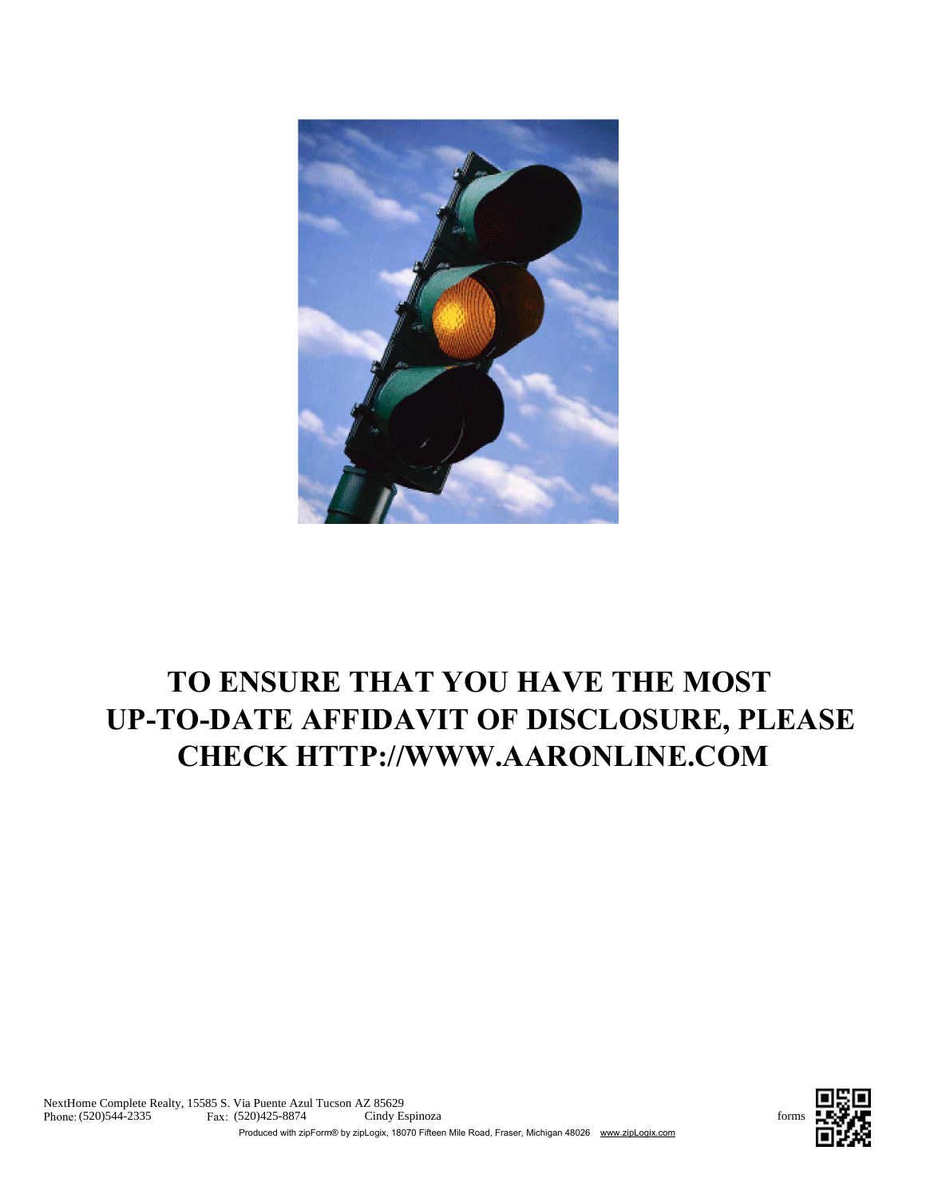

# TO ENSURE THAT YOU HAVE THE MOST UP-TO-DATE AFFIDAVIT OF DISCLOSURE, PLEASE CHECK HTTP://WWW.AARONLINE.COM

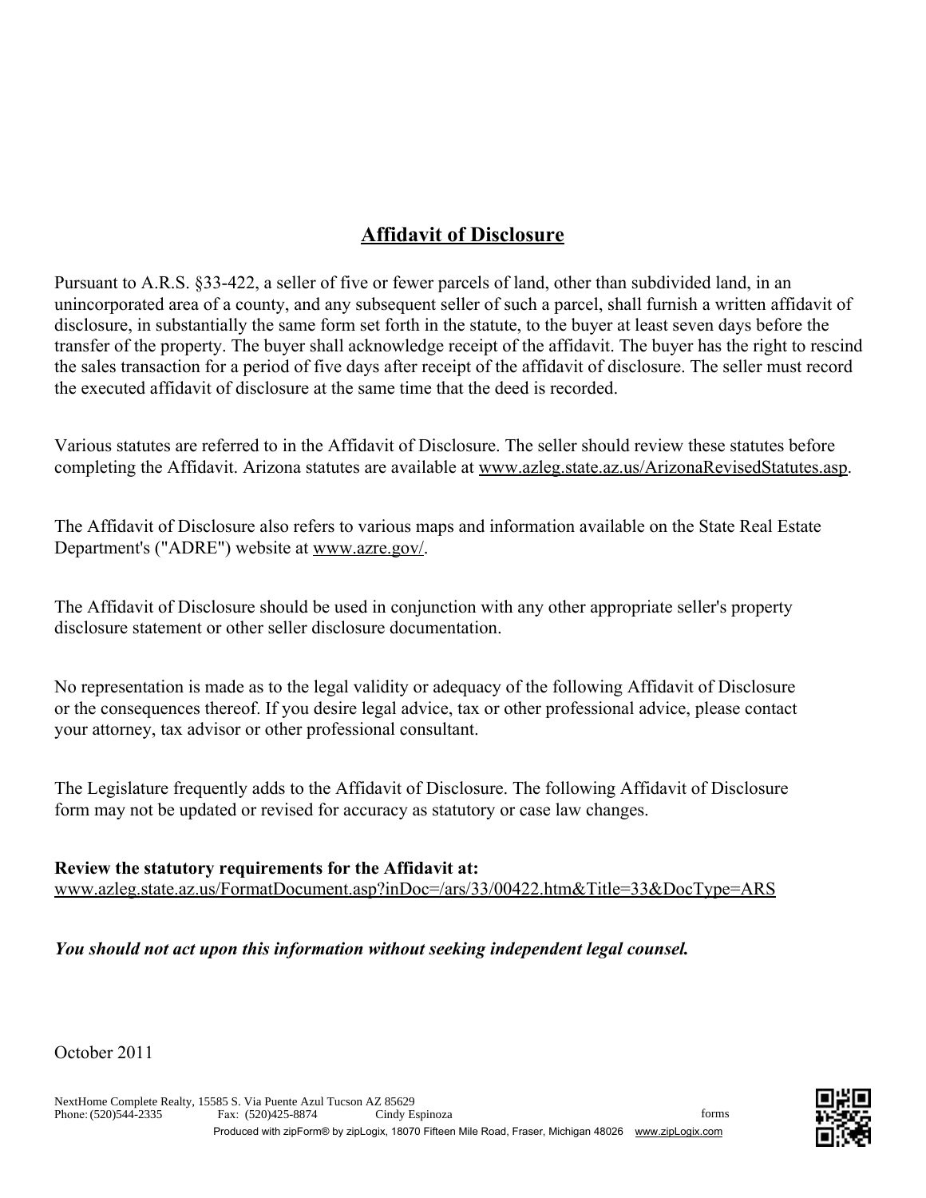## Affidavit of Disclosure

Pursuant to A.R.S. §33-422, a seller of five or fewer parcels of land, other than subdivided land, in an unincorporated area of a county, and any subsequent seller of such a parcel, shall furnish a written affidavit of disclosure, in substantially the same form set forth in the statute, to the buyer at least seven days before the transfer of the property. The buyer shall acknowledge receipt of the affidavit. The buyer has the right to rescind the sales transaction for a period of five days after receipt of the affidavit of disclosure. The seller must record the executed affidavit of disclosure at the same time that the deed is recorded.

Various statutes are referred to in the Affidavit of Disclosure. The seller should review these statutes before completing the Affidavit. Arizona statutes are available at www.azleg.state.az.us/ArizonaRevisedStatutes.asp.

The Affidavit of Disclosure also refers to various maps and information available on the State Real Estate Department's ("ADRE") website at www.azre.gov/.

The Affidavit of Disclosure should be used in conjunction with any other appropriate seller's property disclosure statement or other seller disclosure documentation.

No representation is made as to the legal validity or adequacy of the following Affidavit of Disclosure or the consequences thereof. If you desire legal advice, tax or other professional advice, please contact your attorney, tax advisor or other professional consultant.

The Legislature frequently adds to the Affidavit of Disclosure. The following Affidavit of Disclosure form may not be updated or revised for accuracy as statutory or case law changes.

#### Review the statutory requirements for the Affidavit at:

www.azleg.state.az.us/FormatDocument.asp?inDoc=/ars/33/00422.htm&Title=33&DocType=ARS

#### *You should not act upon this information without seeking independent legal counsel.*

October 2011

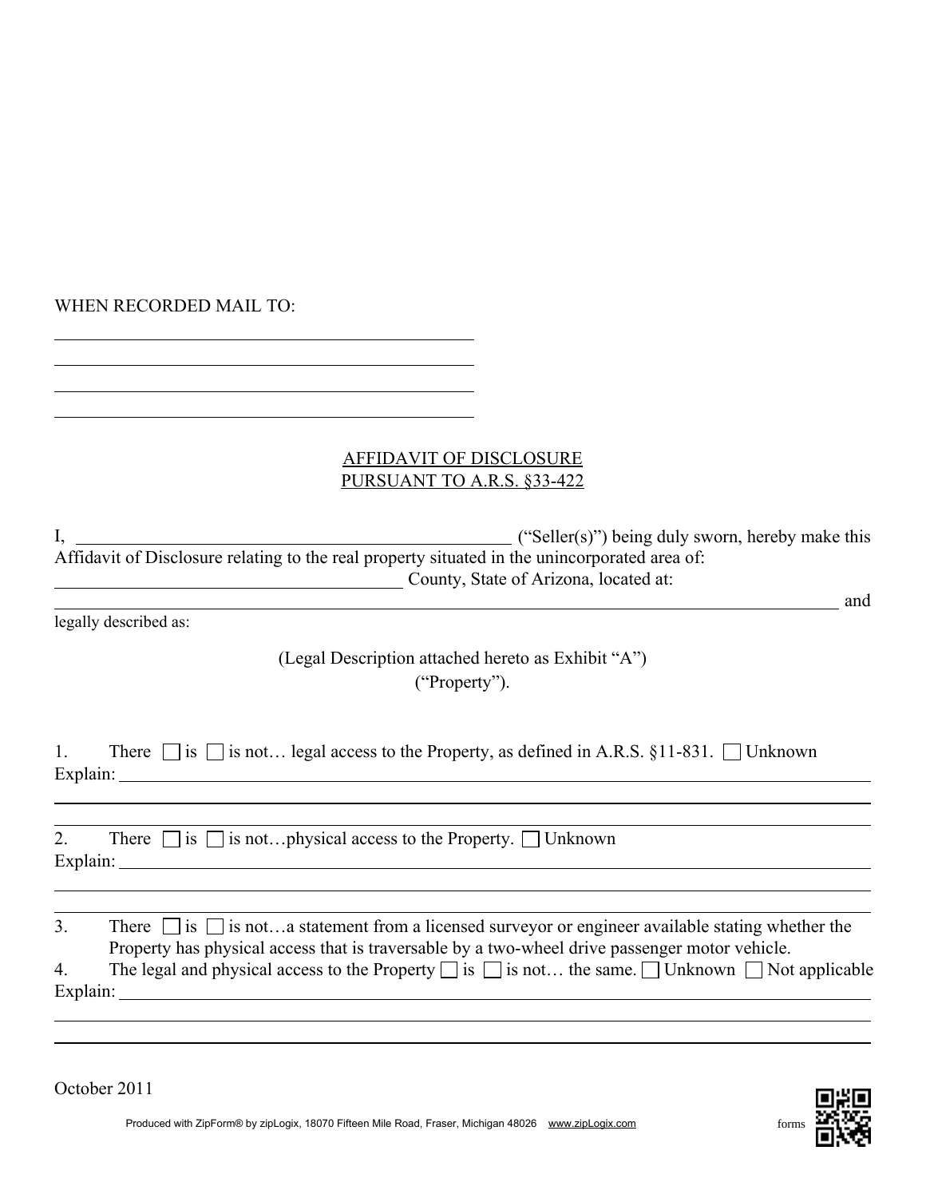#### WHEN RECORDED MAIL TO:

#### AFFIDAVIT OF DISCLOSURE PURSUANT TO A.R.S. §33-422

I, ("Seller(s)") being duly sworn, hereby make this Affidavit of Disclosure relating to the real property situated in the unincorporated area of: County, State of Arizona, located at:

legally described as:

### (Legal Description attached hereto as Exhibit "A") ("Property").

|          |  |  |  |  | There $\Box$ is $\Box$ is not legal access to the Property, as defined in A.R.S. §11-831. $\Box$ Unknown |
|----------|--|--|--|--|----------------------------------------------------------------------------------------------------------|
| Explain: |  |  |  |  |                                                                                                          |

| 2.       | There $\Box$ is $\Box$ is not physical access to the Property. $\Box$ Unknown |
|----------|-------------------------------------------------------------------------------|
| Explain: |                                                                               |

| 3.             | There $\Box$ is $\Box$ is nota statement from a licensed surveyor or engineer available stating whether the          |
|----------------|----------------------------------------------------------------------------------------------------------------------|
|                | Property has physical access that is traversable by a two-wheel drive passenger motor vehicle.                       |
| $\overline{4}$ | The legal and physical access to the Property $\Box$ is $\Box$ is not the same. $\Box$ Unknown $\Box$ Not applicable |
| Explain:       |                                                                                                                      |

October 2011



and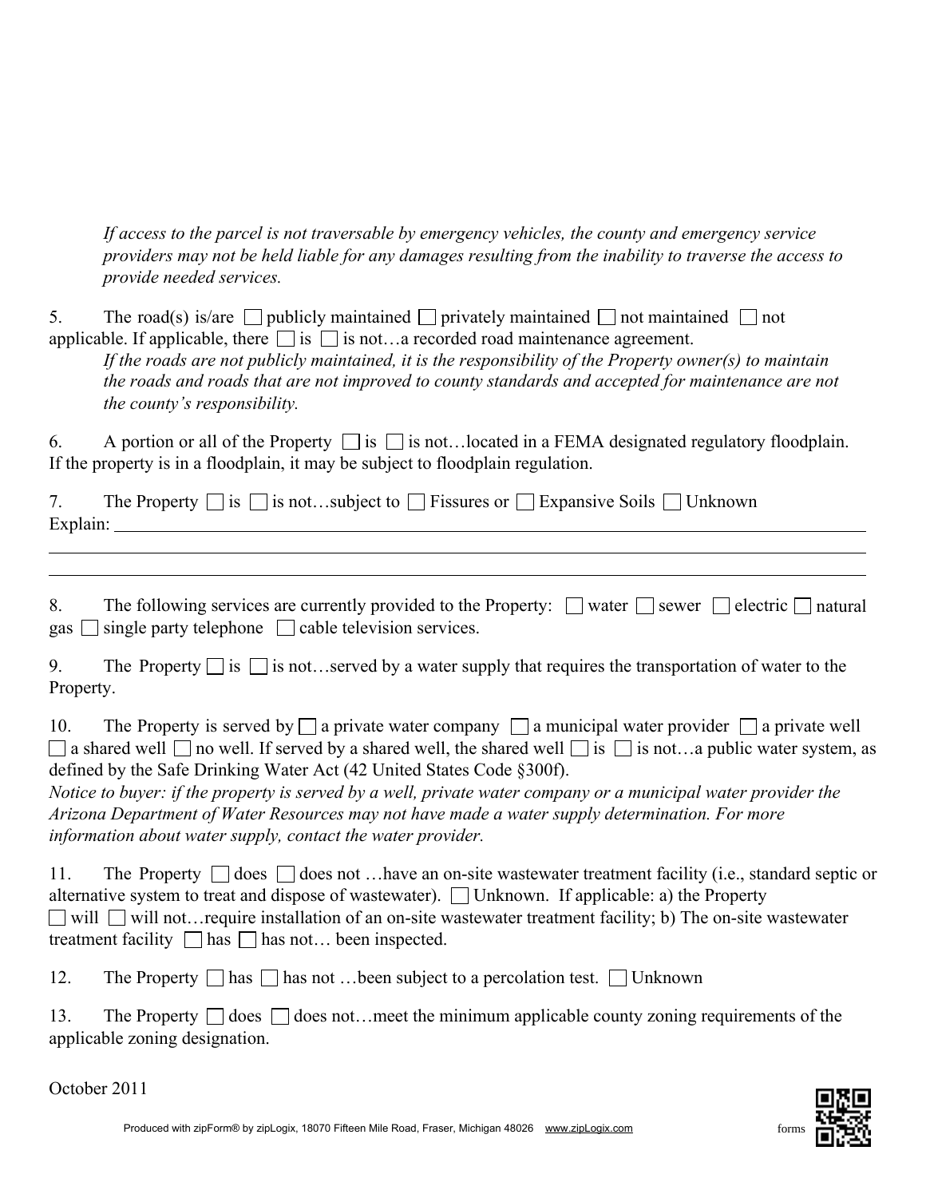*If access to the parcel is not traversable by emergency vehicles, the county and emergency service providers may not be held liable for any damages resulting from the inability to traverse the access to provide needed services.*

5. The road(s) is/are publicly maintained privately maintained not maintained not applicable. If applicable, there  $\Box$  is  $\Box$  is not…a recorded road maintenance agreement.

*If the roads are not publicly maintained, it is the responsibility of the Property owner(s) to maintain the roads and roads that are not improved to county standards and accepted for maintenance are not the county's responsibility.*

6. A portion or all of the Property  $\Box$  is  $\Box$  is not... located in a FEMA designated regulatory floodplain. If the property is in a floodplain, it may be subject to floodplain regulation.

|          | The Property $\Box$ is $\Box$ is notsubject to $\Box$ Fissures or $\Box$ Expansive Soils $\Box$ Unknown |  |
|----------|---------------------------------------------------------------------------------------------------------|--|
| Explain: |                                                                                                         |  |

| The following services are currently provided to the Property: $\Box$ water $\Box$ sewer $\Box$ electric $\Box$ natural |  |  |
|-------------------------------------------------------------------------------------------------------------------------|--|--|
| gas $\Box$ single party telephone $\Box$ cable television services.                                                     |  |  |

9. The Property  $\Box$  is  $\Box$  is not...served by a water supply that requires the transportation of water to the Property.

10. The Property is served by  $\Box$  a private water company  $\Box$  a municipal water provider  $\Box$  a private well  $\Box$  a shared well  $\Box$  no well. If served by a shared well, the shared well  $\Box$  is  $\Box$  is not…a public water system, as defined by the Safe Drinking Water Act (42 United States Code §300f).

*Notice to buyer: if the property is served by a well, private water company or a municipal water provider the Arizona Department of Water Resources may not have made a water supply determination. For more information about water supply, contact the water provider.*

11. The Property  $\Box$  does  $\Box$  does not …have an on-site wastewater treatment facility (i.e., standard septic or alternative system to treat and dispose of wastewater).  $\Box$  Unknown. If applicable: a) the Property  $\Box$  will  $\Box$  will not... require installation of an on-site wastewater treatment facility; b) The on-site wastewater treatment facility  $\Box$  has  $\Box$  has not... been inspected.

12. The Property  $\Box$  has  $\Box$  has not …been subject to a percolation test.  $\Box$  Unknown

13. The Property  $\Box$  does  $\Box$  does not…meet the minimum applicable county zoning requirements of the applicable zoning designation.

October 2011

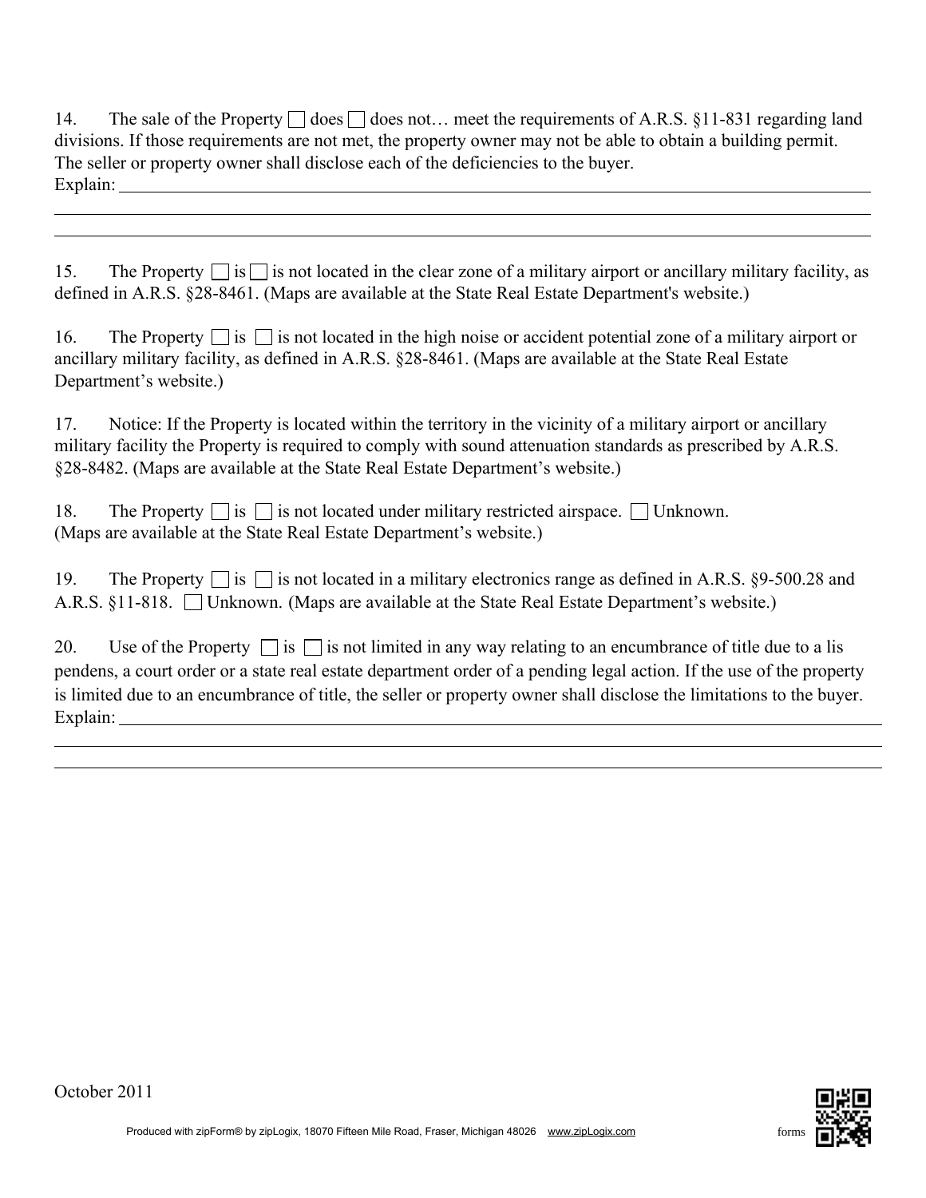| 14.      | The sale of the Property $\Box$ does $\Box$ does not meet the requirements of A.R.S. §11-831 regarding land   |
|----------|---------------------------------------------------------------------------------------------------------------|
|          | divisions. If those requirements are not met, the property owner may not be able to obtain a building permit. |
|          | The seller or property owner shall disclose each of the deficiencies to the buyer.                            |
| Explain: |                                                                                                               |

|  |  |  | 15. The Property $\Box$ is $\Box$ is not located in the clear zone of a military airport or ancillary military facility, as |  |  |
|--|--|--|-----------------------------------------------------------------------------------------------------------------------------|--|--|
|  |  |  | defined in A.R.S. §28-8461. (Maps are available at the State Real Estate Department's website.)                             |  |  |

| 16. | The Property $\Box$ is $\Box$ is not located in the high noise or accident potential zone of a military airport or |
|-----|--------------------------------------------------------------------------------------------------------------------|
|     | ancillary military facility, as defined in A.R.S. §28-8461. (Maps are available at the State Real Estate           |
|     | Department's website.)                                                                                             |

17. Notice: If the Property is located within the territory in the vicinity of a military airport or ancillary military facility the Property is required to comply with sound attenuation standards as prescribed by A.R.S. §28-8482. (Maps are available at the State Real Estate Department's website.)

| 18. | The Property $\Box$ is $\Box$ is not located under military restricted airspace. $\Box$ Unknown. |  |
|-----|--------------------------------------------------------------------------------------------------|--|
|     | (Maps are available at the State Real Estate Department's website.)                              |  |

19. The Property  $\Box$  is  $\Box$  is not located in a military electronics range as defined in A.R.S. §9-500.28 and A.R.S. §11-818. Unknown. (Maps are available at the State Real Estate Department's website.)

| 20.      | Use of the Property $\Box$ is $\Box$ is not limited in any way relating to an encumbrance of title due to a lis      |
|----------|----------------------------------------------------------------------------------------------------------------------|
|          | pendens, a court order or a state real estate department order of a pending legal action. If the use of the property |
|          | is limited due to an encumbrance of title, the seller or property owner shall disclose the limitations to the buyer. |
| Explain: |                                                                                                                      |



October 2011